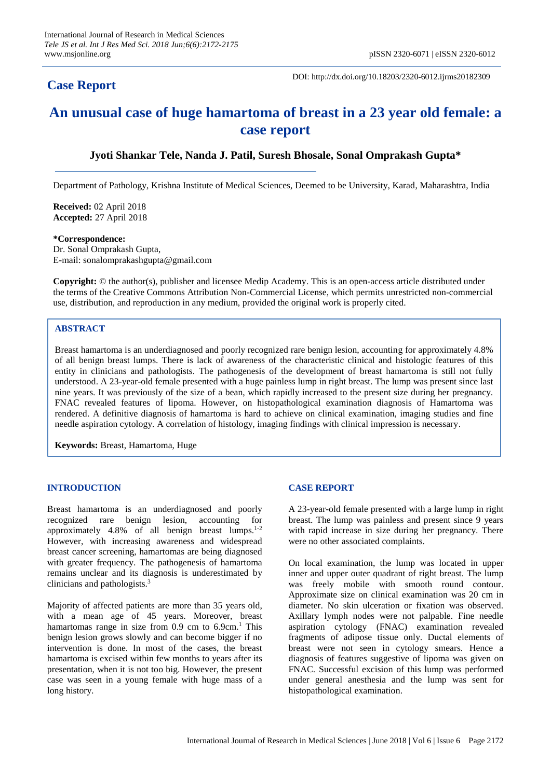# **Case Report**

DOI: http://dx.doi.org/10.18203/2320-6012.ijrms20182309

# **An unusual case of huge hamartoma of breast in a 23 year old female: a case report**

# **Jyoti Shankar Tele, Nanda J. Patil, Suresh Bhosale, Sonal Omprakash Gupta\***

Department of Pathology, Krishna Institute of Medical Sciences, Deemed to be University, Karad, Maharashtra, India

**Received:** 02 April 2018 **Accepted:** 27 April 2018

**\*Correspondence:** Dr. Sonal Omprakash Gupta, E-mail: sonalomprakashgupta@gmail.com

**Copyright:** © the author(s), publisher and licensee Medip Academy. This is an open-access article distributed under the terms of the Creative Commons Attribution Non-Commercial License, which permits unrestricted non-commercial use, distribution, and reproduction in any medium, provided the original work is properly cited.

# **ABSTRACT**

Breast hamartoma is an underdiagnosed and poorly recognized rare benign lesion, accounting for approximately 4.8% of all benign breast lumps. There is lack of awareness of the characteristic clinical and histologic features of this entity in clinicians and pathologists. The pathogenesis of the development of breast hamartoma is still not fully understood. A 23-year-old female presented with a huge painless lump in right breast. The lump was present since last nine years. It was previously of the size of a bean, which rapidly increased to the present size during her pregnancy. FNAC revealed features of lipoma. However, on histopathological examination diagnosis of Hamartoma was rendered. A definitive diagnosis of hamartoma is hard to achieve on clinical examination, imaging studies and fine needle aspiration cytology. A correlation of histology, imaging findings with clinical impression is necessary.

**Keywords:** Breast, Hamartoma, Huge

#### **INTRODUCTION**

Breast hamartoma is an underdiagnosed and poorly recognized rare benign lesion, accounting for approximately  $4.8\%$  of all benign breast lumps.<sup>1-2</sup> However, with increasing awareness and widespread breast cancer screening, hamartomas are being diagnosed with greater frequency. The pathogenesis of hamartoma remains unclear and its diagnosis is underestimated by clinicians and pathologists. 3

Majority of affected patients are more than 35 years old, with a mean age of 45 years. Moreover, breast hamartomas range in size from 0.9 cm to 6.9cm.<sup>1</sup> This benign lesion grows slowly and can become bigger if no intervention is done. In most of the cases, the breast hamartoma is excised within few months to years after its presentation, when it is not too big. However, the present case was seen in a young female with huge mass of a long history.

#### **CASE REPORT**

A 23-year-old female presented with a large lump in right breast. The lump was painless and present since 9 years with rapid increase in size during her pregnancy. There were no other associated complaints.

On local examination, the lump was located in upper inner and upper outer quadrant of right breast. The lump was freely mobile with smooth round contour. Approximate size on clinical examination was 20 cm in diameter. No skin ulceration or fixation was observed. Axillary lymph nodes were not palpable. Fine needle aspiration cytology (FNAC) examination revealed fragments of adipose tissue only. Ductal elements of breast were not seen in cytology smears. Hence a diagnosis of features suggestive of lipoma was given on FNAC. Successful excision of this lump was performed under general anesthesia and the lump was sent for histopathological examination.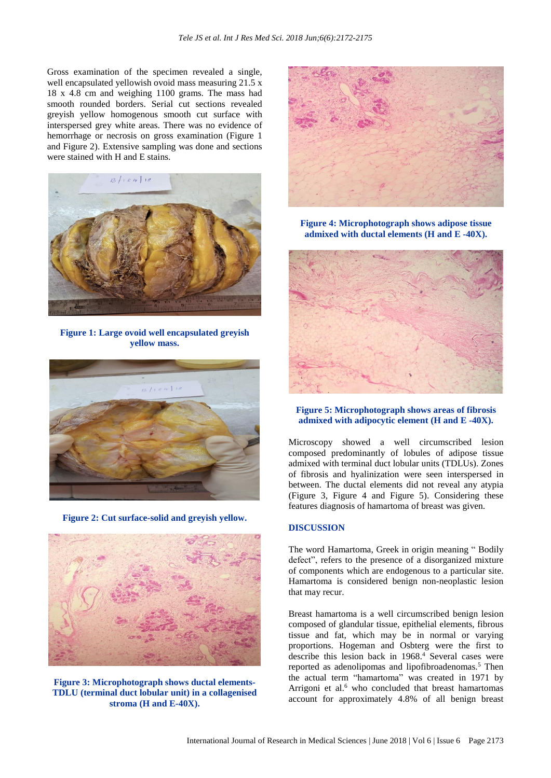Gross examination of the specimen revealed a single, well encapsulated yellowish ovoid mass measuring 21.5 x 18 x 4.8 cm and weighing 1100 grams. The mass had smooth rounded borders. Serial cut sections revealed greyish yellow homogenous smooth cut surface with interspersed grey white areas. There was no evidence of hemorrhage or necrosis on gross examination (Figure 1 and Figure 2). Extensive sampling was done and sections were stained with H and E stains.



**Figure 1: Large ovoid well encapsulated greyish yellow mass.**



**Figure 2: Cut surface-solid and greyish yellow.**



**Figure 3: Microphotograph shows ductal elements-TDLU (terminal duct lobular unit) in a collagenised stroma (H and E-40X).**



**Figure 4: Microphotograph shows adipose tissue admixed with ductal elements (H and E -40X).**



# **Figure 5: Microphotograph shows areas of fibrosis admixed with adipocytic element (H and E -40X).**

Microscopy showed a well circumscribed lesion composed predominantly of lobules of adipose tissue admixed with terminal duct lobular units (TDLUs). Zones of fibrosis and hyalinization were seen interspersed in between. The ductal elements did not reveal any atypia (Figure 3, Figure 4 and Figure 5). Considering these features diagnosis of hamartoma of breast was given.

#### **DISCUSSION**

The word Hamartoma, Greek in origin meaning " Bodily defect", refers to the presence of a disorganized mixture of components which are endogenous to a particular site. Hamartoma is considered benign non-neoplastic lesion that may recur.

Breast hamartoma is a well circumscribed benign lesion composed of glandular tissue, epithelial elements, fibrous tissue and fat, which may be in normal or varying proportions. Hogeman and Osbterg were the first to describe this lesion back in 1968. <sup>4</sup> Several cases were reported as adenolipomas and lipofibroadenomas.<sup>5</sup> Then the actual term "hamartoma" was created in 1971 by Arrigoni et al.<sup>6</sup> who concluded that breast hamartomas account for approximately 4.8% of all benign breast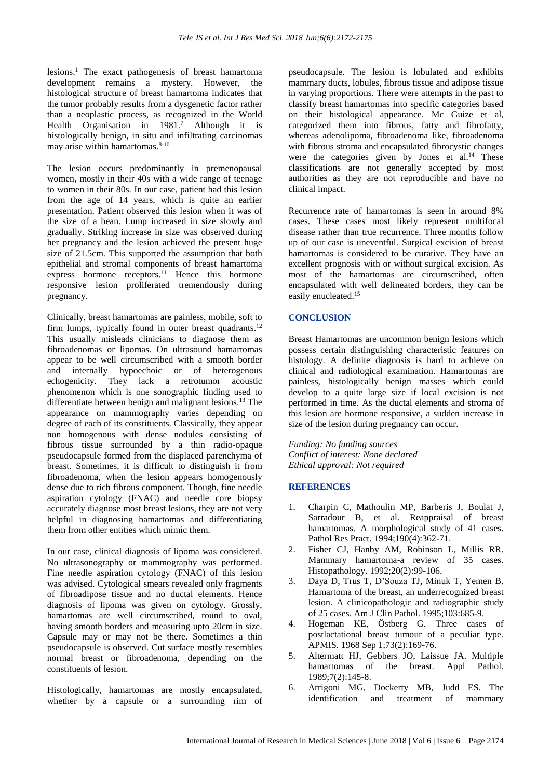lesions. <sup>1</sup> The exact pathogenesis of breast hamartoma development remains a mystery. However, the histological structure of breast hamartoma indicates that the tumor probably results from a dysgenetic factor rather than a neoplastic process, as recognized in the World Health Organisation in 1981. <sup>7</sup> Although it is histologically benign, in situ and infiltrating carcinomas may arise within hamartomas. 8-10

The lesion occurs predominantly in premenopausal women, mostly in their 40s with a wide range of teenage to women in their 80s. In our case, patient had this lesion from the age of 14 years, which is quite an earlier presentation. Patient observed this lesion when it was of the size of a bean. Lump increased in size slowly and gradually. Striking increase in size was observed during her pregnancy and the lesion achieved the present huge size of 21.5cm. This supported the assumption that both epithelial and stromal components of breast hamartoma express hormone receptors. <sup>11</sup> Hence this hormone responsive lesion proliferated tremendously during pregnancy.

Clinically, breast hamartomas are painless, mobile, soft to firm lumps, typically found in outer breast quadrants.<sup>12</sup> This usually misleads clinicians to diagnose them as fibroadenomas or lipomas. On ultrasound hamartomas appear to be well circumscribed with a smooth border and internally hypoechoic or of heterogenous echogenicity. They lack a retrotumor acoustic phenomenon which is one sonographic finding used to differentiate between benign and malignant lesions. <sup>13</sup> The appearance on mammography varies depending on degree of each of its constituents. Classically, they appear non homogenous with dense nodules consisting of fibrous tissue surrounded by a thin radio-opaque pseudocapsule formed from the displaced parenchyma of breast. Sometimes, it is difficult to distinguish it from fibroadenoma, when the lesion appears homogenously dense due to rich fibrous component. Though, fine needle aspiration cytology (FNAC) and needle core biopsy accurately diagnose most breast lesions, they are not very helpful in diagnosing hamartomas and differentiating them from other entities which mimic them.

In our case, clinical diagnosis of lipoma was considered. No ultrasonography or mammography was performed. Fine needle aspiration cytology (FNAC) of this lesion was advised. Cytological smears revealed only fragments of fibroadipose tissue and no ductal elements. Hence diagnosis of lipoma was given on cytology. Grossly, hamartomas are well circumscribed, round to oval, having smooth borders and measuring upto 20cm in size. Capsule may or may not be there. Sometimes a thin pseudocapsule is observed. Cut surface mostly resembles normal breast or fibroadenoma, depending on the constituents of lesion.

Histologically, hamartomas are mostly encapsulated, whether by a capsule or a surrounding rim of pseudocapsule. The lesion is lobulated and exhibits mammary ducts, lobules, fibrous tissue and adipose tissue in varying proportions. There were attempts in the past to classify breast hamartomas into specific categories based on their histological appearance. Mc Guize et al, categorized them into fibrous, fatty and fibrofatty, whereas adenolipoma, fibroadenoma like, fibroadenoma with fibrous stroma and encapsulated fibrocystic changes were the categories given by Jones et al.<sup>14</sup> These classifications are not generally accepted by most authorities as they are not reproducible and have no clinical impact.

Recurrence rate of hamartomas is seen in around 8% cases. These cases most likely represent multifocal disease rather than true recurrence. Three months follow up of our case is uneventful. Surgical excision of breast hamartomas is considered to be curative. They have an excellent prognosis with or without surgical excision. As most of the hamartomas are circumscribed, often encapsulated with well delineated borders, they can be easily enucleated. 15

# **CONCLUSION**

Breast Hamartomas are uncommon benign lesions which possess certain distinguishing characteristic features on histology. A definite diagnosis is hard to achieve on clinical and radiological examination. Hamartomas are painless, histologically benign masses which could develop to a quite large size if local excision is not performed in time. As the ductal elements and stroma of this lesion are hormone responsive, a sudden increase in size of the lesion during pregnancy can occur.

*Funding: No funding sources Conflict of interest: None declared Ethical approval: Not required*

# **REFERENCES**

- 1. Charpin C, Mathoulin MP, Barberis J, Boulat J, Sarradour B, et al. Reappraisal of breast hamartomas. A morphological study of 41 cases. Pathol Res Pract. 1994;190(4):362-71.
- 2. Fisher CJ, Hanby AM, Robinson L, Millis RR. Mammary hamartoma-a review of 35 cases. Histopathology. 1992;20(2):99-106.
- 3. Daya D, Trus T, D'Souza TJ, Minuk T, Yemen B. Hamartoma of the breast, an underrecognized breast lesion. A clinicopathologic and radiographic study of 25 cases. Am J Clin Pathol. 1995;103:685-9.
- 4. Hogeman KE, Östberg G. Three cases of postlactational breast tumour of a peculiar type. APMIS. 1968 Sep 1;73(2):169-76.
- 5. Altermatt HJ, Gebbers JO, Laissue JA. Multiple hamartomas of the breast. Appl Pathol. 1989;7(2):145-8.
- 6. Arrigoni MG, Dockerty MB, Judd ES. The identification and treatment of mammary